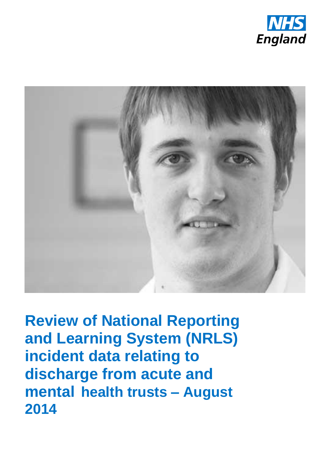



**Review of National Reporting and Learning System (NRLS) incident data relating to discharge from acute and mental health trusts – August 2014**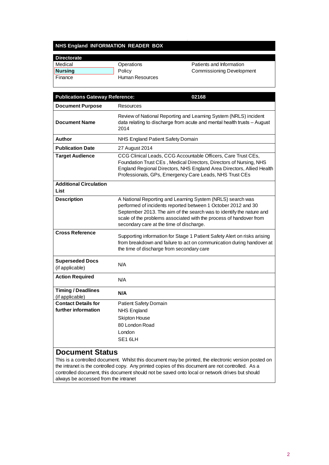#### **NHS England INFORMATION READER BOX**

| Operations      | Patients and Information         |
|-----------------|----------------------------------|
| Policy          | <b>Commissioning Development</b> |
| Human Resources |                                  |
|                 |                                  |

| <b>Publications Gateway Reference:</b>       | 02168                                                                                                                                                                                                                                                                                                                 |
|----------------------------------------------|-----------------------------------------------------------------------------------------------------------------------------------------------------------------------------------------------------------------------------------------------------------------------------------------------------------------------|
| <b>Document Purpose</b>                      | Resources                                                                                                                                                                                                                                                                                                             |
| <b>Document Name</b>                         | Review of National Reporting and Learning System (NRLS) incident<br>data relating to discharge from acute and mental health trusts - August<br>2014                                                                                                                                                                   |
| Author                                       | NHS England Patient Safety Domain                                                                                                                                                                                                                                                                                     |
| <b>Publication Date</b>                      | 27 August 2014                                                                                                                                                                                                                                                                                                        |
| <b>Target Audience</b>                       | CCG Clinical Leads, CCG Accountable Officers, Care Trust CEs,<br>Foundation Trust CEs, Medical Directors, Directors of Nursing, NHS<br>England Regional Directors, NHS England Area Directors, Allied Health<br>Professionals, GPs, Emergency Care Leads, NHS Trust CEs                                               |
| <b>Additional Circulation</b><br>List        |                                                                                                                                                                                                                                                                                                                       |
| <b>Description</b>                           | A National Reporting and Learning System (NRLS) search was<br>performed of incidents reported between 1 October 2012 and 30<br>September 2013. The aim of the search was to identify the nature and<br>scale of the problems associated with the process of handover from<br>secondary care at the time of discharge. |
| <b>Cross Reference</b>                       | Supporting information for Stage 1 Patient Safety Alert on risks arising<br>from breakdown and failure to act on communication during handover at<br>the time of discharge from secondary care                                                                                                                        |
| <b>Superseded Docs</b><br>(if applicable)    | N/A                                                                                                                                                                                                                                                                                                                   |
| <b>Action Required</b>                       | N/A                                                                                                                                                                                                                                                                                                                   |
| <b>Timing / Deadlines</b><br>(if applicable) | N/A                                                                                                                                                                                                                                                                                                                   |
| <b>Contact Details for</b>                   | Patient Safety Domain                                                                                                                                                                                                                                                                                                 |
| further information                          | <b>NHS England</b>                                                                                                                                                                                                                                                                                                    |
|                                              | <b>Skipton House</b>                                                                                                                                                                                                                                                                                                  |
|                                              | 80 London Road                                                                                                                                                                                                                                                                                                        |
|                                              | London<br>SE <sub>16LH</sub>                                                                                                                                                                                                                                                                                          |

#### **Document Status**

This is a controlled document. Whilst this document may be printed, the electronic version posted on the intranet is the controlled copy. Any printed copies of this document are not controlled. As a controlled document, this document should not be saved onto local or network drives but should always be accessed from the intranet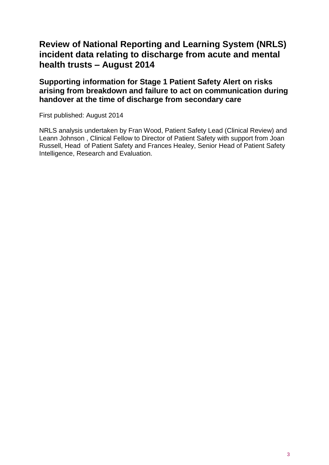## **Review of National Reporting and Learning System (NRLS) incident data relating to discharge from acute and mental health trusts – August 2014**

**Supporting information for Stage 1 Patient Safety Alert on risks arising from breakdown and failure to act on communication during handover at the time of discharge from secondary care**

First published: August 2014

NRLS analysis undertaken by Fran Wood, Patient Safety Lead (Clinical Review) and Leann Johnson , Clinical Fellow to Director of Patient Safety with support from Joan Russell, Head of Patient Safety and Frances Healey, Senior Head of Patient Safety Intelligence, Research and Evaluation.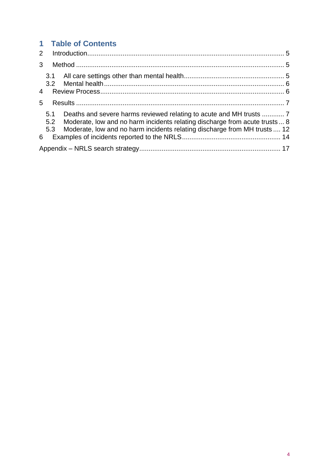# **1 Table of Contents**

| $\overline{4}$ |                   |                                                                                                                                                         |  |
|----------------|-------------------|---------------------------------------------------------------------------------------------------------------------------------------------------------|--|
| 5 <sup>1</sup> |                   |                                                                                                                                                         |  |
|                |                   |                                                                                                                                                         |  |
|                | 5.1<br>5.2<br>5.3 | Moderate, low and no harm incidents relating discharge from acute trusts 8<br>Moderate, low and no harm incidents relating discharge from MH trusts  12 |  |
| 6              |                   |                                                                                                                                                         |  |
|                |                   |                                                                                                                                                         |  |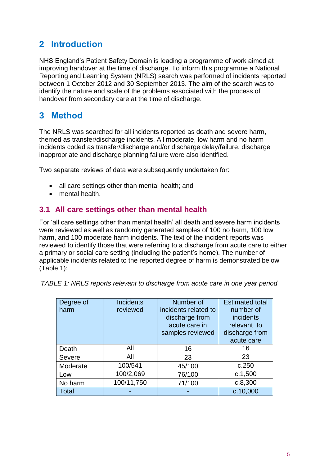# <span id="page-4-0"></span>**2 Introduction**

NHS England's Patient Safety Domain is leading a programme of work aimed at improving handover at the time of discharge. To inform this programme a National Reporting and Learning System (NRLS) search was performed of incidents reported between 1 October 2012 and 30 September 2013. The aim of the search was to identify the nature and scale of the problems associated with the process of handover from secondary care at the time of discharge.

# <span id="page-4-1"></span>**3 Method**

The NRLS was searched for all incidents reported as death and severe harm, themed as transfer/discharge incidents. All moderate, low harm and no harm incidents coded as transfer/discharge and/or discharge delay/failure, discharge inappropriate and discharge planning failure were also identified.

Two separate reviews of data were subsequently undertaken for:

- all care settings other than mental health; and
- mental health.

## <span id="page-4-2"></span>**3.1 All care settings other than mental health**

For 'all care settings other than mental health' all death and severe harm incidents were reviewed as well as randomly generated samples of 100 no harm, 100 low harm, and 100 moderate harm incidents. The text of the incident reports was reviewed to identify those that were referring to a discharge from acute care to either a primary or social care setting (including the patient's home). The number of applicable incidents related to the reported degree of harm is demonstrated below (Table 1):

*TABLE 1: NRLS reports relevant to discharge from acute care in one year period*

| Degree of<br>harm | <b>Incidents</b><br>reviewed | Number of<br>incidents related to<br>discharge from<br>acute care in<br>samples reviewed | <b>Estimated total</b><br>number of<br><i>incidents</i><br>relevant to<br>discharge from<br>acute care |
|-------------------|------------------------------|------------------------------------------------------------------------------------------|--------------------------------------------------------------------------------------------------------|
| Death             | All                          | 16                                                                                       | 16                                                                                                     |
| <b>Severe</b>     | All                          | 23                                                                                       | 23                                                                                                     |
| Moderate          | 100/541                      | 45/100                                                                                   | c.250                                                                                                  |
| Low               | 100/2,069                    | 76/100                                                                                   | c.1,500                                                                                                |
| No harm           | 100/11,750                   | 71/100                                                                                   | c.8,300                                                                                                |
| Total             |                              |                                                                                          | c.10,000                                                                                               |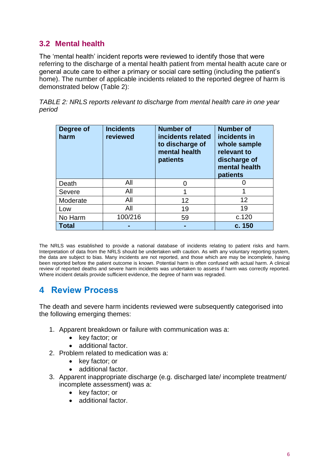## <span id="page-5-0"></span>**3.2 Mental health**

The 'mental health' incident reports were reviewed to identify those that were referring to the discharge of a mental health patient from mental health acute care or general acute care to either a primary or social care setting (including the patient's home). The number of applicable incidents related to the reported degree of harm is demonstrated below (Table 2):

*TABLE 2: NRLS reports relevant to discharge from mental health care in one year period*

| Degree of<br>harm | <b>Incidents</b><br>reviewed | <b>Number of</b><br>incidents related<br>to discharge of<br>mental health<br>patients | <b>Number of</b><br>incidents in<br>whole sample<br>relevant to<br>discharge of<br>mental health<br>patients |
|-------------------|------------------------------|---------------------------------------------------------------------------------------|--------------------------------------------------------------------------------------------------------------|
| Death             | All                          | O                                                                                     |                                                                                                              |
| Severe            | All                          | 1                                                                                     | 1                                                                                                            |
| Moderate          | All                          | 12                                                                                    | 12                                                                                                           |
| Low               | All                          | 19                                                                                    | 19                                                                                                           |
| No Harm           | 100/216                      | 59                                                                                    | c.120                                                                                                        |
| <b>Total</b>      |                              |                                                                                       | c. 150                                                                                                       |

The NRLS was established to provide a national database of incidents relating to patient risks and harm. Interpretation of data from the NRLS should be undertaken with caution. As with any voluntary reporting system, the data are subject to bias. Many incidents are not reported, and those which are may be incomplete, having been reported before the patient outcome is known. Potential harm is often confused with actual harm. A clinical review of reported deaths and severe harm incidents was undertaken to assess if harm was correctly reported. Where incident details provide sufficient evidence, the degree of harm was regraded.

## <span id="page-5-1"></span>**4 Review Process**

The death and severe harm incidents reviewed were subsequently categorised into the following emerging themes:

- 1. Apparent breakdown or failure with communication was a:
	- key factor; or
	- additional factor.
- 2. Problem related to medication was a:
	- key factor; or
	- additional factor.
- 3. Apparent inappropriate discharge (e.g. discharged late/ incomplete treatment/ incomplete assessment) was a:
	- key factor; or
	- additional factor.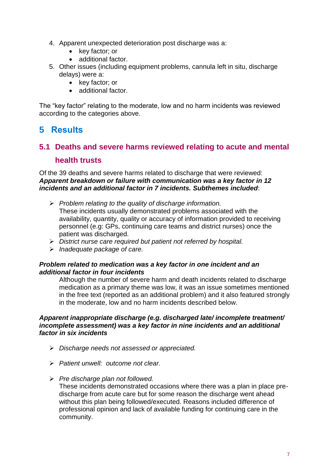- 4. Apparent unexpected deterioration post discharge was a:
	- key factor; or
	- additional factor.
- 5. Other issues (including equipment problems, cannula left in situ, discharge delays) were a:
	- key factor; or
	- additional factor.

The "key factor" relating to the moderate, low and no harm incidents was reviewed according to the categories above.

## <span id="page-6-0"></span>**5 Results**

## <span id="page-6-1"></span>**5.1 Deaths and severe harms reviewed relating to acute and mental health trusts**

Of the 39 deaths and severe harms related to discharge that were reviewed: *Apparent breakdown or failure with communication was a key factor in 12 incidents and an additional factor in 7 incidents. Subthemes included*:

- *Problem relating to the quality of discharge information.*  These incidents usually demonstrated problems associated with the availability, quantity, quality or accuracy of information provided to receiving personnel (e.g: GPs, continuing care teams and district nurses) once the patient was discharged.
- *District nurse care required but patient not referred by hospital.*
- *Inadequate package of care.*

#### *Problem related to medication was a key factor in one incident and an additional factor in four incidents*

Although the number of severe harm and death incidents related to discharge medication as a primary theme was low, it was an issue sometimes mentioned in the free text (reported as an additional problem) and it also featured strongly in the moderate, low and no harm incidents described below.

#### *Apparent inappropriate discharge (e.g. discharged late/ incomplete treatment/ incomplete assessment) was a key factor in nine incidents and an additional factor in six incidents*

- *Discharge needs not assessed or appreciated.*
- *Patient unwell: outcome not clear.*
- *Pre discharge plan not followed.*

These incidents demonstrated occasions where there was a plan in place predischarge from acute care but for some reason the discharge went ahead without this plan being followed/executed. Reasons included difference of professional opinion and lack of available funding for continuing care in the community.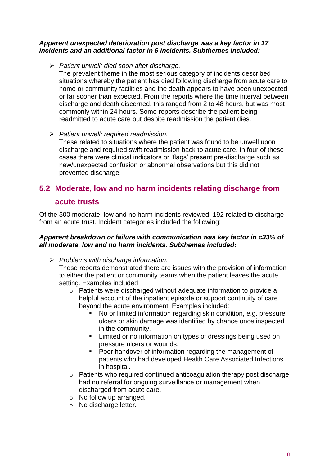#### *Apparent unexpected deterioration post discharge was a key factor in 17 incidents and an additional factor in 6 incidents. Subthemes included:*

*Patient unwell: died soon after discharge.* 

The prevalent theme in the most serious category of incidents described situations whereby the patient has died following discharge from acute care to home or community facilities and the death appears to have been unexpected or far sooner than expected. From the reports where the time interval between discharge and death discerned, this ranged from 2 to 48 hours, but was most commonly within 24 hours. Some reports describe the patient being readmitted to acute care but despite readmission the patient dies.

*Patient unwell: required readmission.* 

These related to situations where the patient was found to be unwell upon discharge and required swift readmission back to acute care. In four of these cases there were clinical indicators or 'flags' present pre-discharge such as new/unexpected confusion or abnormal observations but this did not prevented discharge.

# <span id="page-7-0"></span>**5.2 Moderate, low and no harm incidents relating discharge from**

### **acute trusts**

Of the 300 moderate, low and no harm incidents reviewed, 192 related to discharge from an acute trust. Incident categories included the following:

#### *Apparent breakdown or failure with communication was key factor in c33% of all moderate, low and no harm incidents. Subthemes included***:**

*Problems with discharge information.*

These reports demonstrated there are issues with the provision of information to either the patient or community teams when the patient leaves the acute setting. Examples included:

- o Patients were discharged without adequate information to provide a helpful account of the inpatient episode or support continuity of care beyond the acute environment. Examples included:
	- No or limited information regarding skin condition, e.g. pressure ulcers or skin damage was identified by chance once inspected in the community.
	- **EXECT** Limited or no information on types of dressings being used on pressure ulcers or wounds.
	- Poor handover of information regarding the management of patients who had developed Health Care Associated Infections in hospital.
- o Patients who required continued anticoagulation therapy post discharge had no referral for ongoing surveillance or management when discharged from acute care.
- o No follow up arranged.
- o No discharge letter.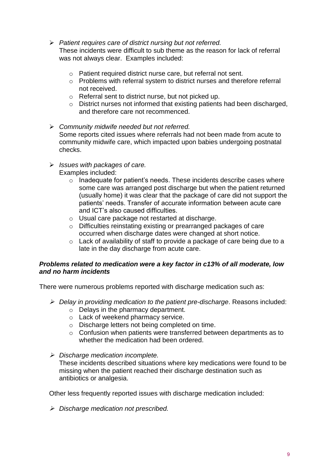#### *Patient requires care of district nursing but not referred.*

These incidents were difficult to sub theme as the reason for lack of referral was not always clear. Examples included:

- o Patient required district nurse care, but referral not sent.
- o Problems with referral system to district nurses and therefore referral not received.
- o Referral sent to district nurse, but not picked up.
- o District nurses not informed that existing patients had been discharged, and therefore care not recommenced.
- *Community midwife needed but not referred.* Some reports cited issues where referrals had not been made from acute to community midwife care, which impacted upon babies undergoing postnatal checks.
- *Issues with packages of care.* Examples included:
	- $\circ$  Inadequate for patient's needs. These incidents describe cases where some care was arranged post discharge but when the patient returned (usually home) it was clear that the package of care did not support the patients' needs. Transfer of accurate information between acute care and ICT's also caused difficulties.
	- o Usual care package not restarted at discharge.
	- o Difficulties reinstating existing or prearranged packages of care occurred when discharge dates were changed at short notice.
	- o Lack of availability of staff to provide a package of care being due to a late in the day discharge from acute care.

#### *Problems related to medication were a key factor in c13% of all moderate, low and no harm incidents*

There were numerous problems reported with discharge medication such as:

- *Delay in providing medication to the patient pre-discharge*. Reasons included:
	- o Delays in the pharmacy department.
	- o Lack of weekend pharmacy service.
	- o Discharge letters not being completed on time.
	- o Confusion when patients were transferred between departments as to whether the medication had been ordered.
- *Discharge medication incomplete.*

These incidents described situations where key medications were found to be missing when the patient reached their discharge destination such as antibiotics or analgesia.

Other less frequently reported issues with discharge medication included:

*Discharge medication not prescribed.*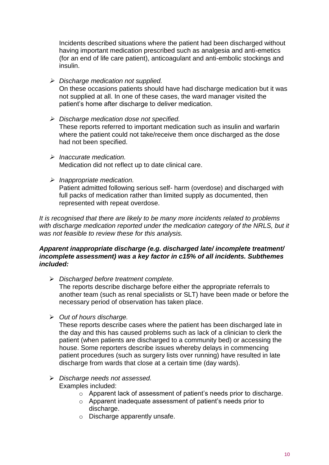Incidents described situations where the patient had been discharged without having important medication prescribed such as analgesia and anti-emetics (for an end of life care patient), anticoagulant and anti-embolic stockings and insulin.

*Discharge medication not supplied.* 

On these occasions patients should have had discharge medication but it was not supplied at all. In one of these cases, the ward manager visited the patient's home after discharge to deliver medication.

- *Discharge medication dose not specified.*  These reports referred to important medication such as insulin and warfarin where the patient could not take/receive them once discharged as the dose had not been specified.
- *Inaccurate medication.*  Medication did not reflect up to date clinical care.
- *Inappropriate medication.*

Patient admitted following serious self- harm (overdose) and discharged with full packs of medication rather than limited supply as documented, then represented with repeat overdose.

*It is recognised that there are likely to be many more incidents related to problems*  with discharge medication reported under the medication category of the NRLS, but it *was not feasible to review these for this analysis.* 

#### *Apparent inappropriate discharge (e.g. discharged late/ incomplete treatment/ incomplete assessment) was a key factor in c15% of all incidents. Subthemes included:*

*Discharged before treatment complete.*

The reports describe discharge before either the appropriate referrals to another team (such as renal specialists or SLT) have been made or before the necessary period of observation has taken place.

*Out of hours discharge.*

These reports describe cases where the patient has been discharged late in the day and this has caused problems such as lack of a clinician to clerk the patient (when patients are discharged to a community bed) or accessing the house. Some reporters describe issues whereby delays in commencing patient procedures (such as surgery lists over running) have resulted in late discharge from wards that close at a certain time (day wards).

#### *Discharge needs not assessed.* Examples included:

- o Apparent lack of assessment of patient's needs prior to discharge.
- o Apparent inadequate assessment of patient's needs prior to discharge.
- o Discharge apparently unsafe.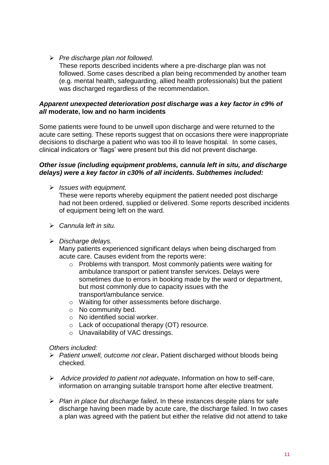*Pre discharge plan not followed.*

These reports described incidents where a pre-discharge plan was not followed. Some cases described a plan being recommended by another team (e.g. mental health, safeguarding, allied health professionals) but the patient was discharged regardless of the recommendation.

#### *Apparent unexpected deterioration post discharge was a key factor in c9% of all* **moderate, low and no harm incidents**

Some patients were found to be unwell upon discharge and were returned to the acute care setting. These reports suggest that on occasions there were inappropriate decisions to discharge a patient who was too ill to leave hospital. In some cases, clinical indicators or 'flags' were present but this did not prevent discharge.

#### *Other issue (including equipment problems, cannula left in situ, and discharge delays) were a key factor in c30% of all incidents. Subthemes included:*

*Issues with equipment.*

These were reports whereby equipment the patient needed post discharge had not been ordered, supplied or delivered. Some reports described incidents of equipment being left on the ward.

- *Cannula left in situ.*
- *Discharge delays.*

Many patients experienced significant delays when being discharged from acute care. Causes evident from the reports were:

- o Problems with transport. Most commonly patients were waiting for ambulance transport or patient transfer services. Delays were sometimes due to errors in booking made by the ward or department, but most commonly due to capacity issues with the transport/ambulance service.
- o Waiting for other assessments before discharge.
- o No community bed.
- o No identified social worker.
- o Lack of occupational therapy (OT) resource.
- o Unavailability of VAC dressings.

#### *Others included:*

- *Patient unwell, outcome not clear***.** Patient discharged without bloods being checked.
- *Advice provided to patient not adequate***.** Information on how to self-care, information on arranging suitable transport home after elective treatment.
- *Plan in place but discharge failed***.** In these instances despite plans for safe discharge having been made by acute care, the discharge failed. In two cases a plan was agreed with the patient but either the relative did not attend to take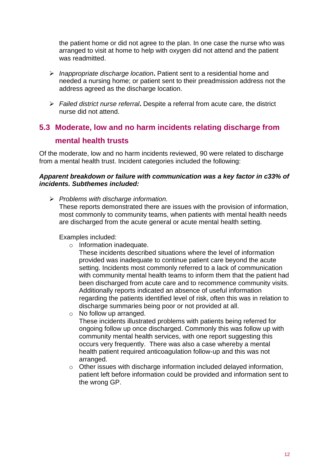the patient home or did not agree to the plan. In one case the nurse who was arranged to visit at home to help with oxygen did not attend and the patient was readmitted.

- *Inappropriate discharge location***.** Patient sent to a residential home and needed a nursing home; or patient sent to their preadmission address not the address agreed as the discharge location.
- *Failed district nurse referral***.** Despite a referral from acute care, the district nurse did not attend.

# <span id="page-11-0"></span>**5.3 Moderate, low and no harm incidents relating discharge from**

## **mental health trusts**

Of the moderate, low and no harm incidents reviewed, 90 were related to discharge from a mental health trust. Incident categories included the following:

#### *Apparent breakdown or failure with communication was a key factor in c33% of incidents. Subthemes included:*

*Problems with discharge information.* 

These reports demonstrated there are issues with the provision of information, most commonly to community teams, when patients with mental health needs are discharged from the acute general or acute mental health setting.

Examples included:

- o Information inadequate.
	- These incidents described situations where the level of information provided was inadequate to continue patient care beyond the acute setting. Incidents most commonly referred to a lack of communication with community mental health teams to inform them that the patient had been discharged from acute care and to recommence community visits. Additionally reports indicated an absence of useful information regarding the patients identified level of risk, often this was in relation to discharge summaries being poor or not provided at all.
- o No follow up arranged.
	- These incidents illustrated problems with patients being referred for ongoing follow up once discharged. Commonly this was follow up with community mental health services, with one report suggesting this occurs very frequently. There was also a case whereby a mental health patient required anticoagulation follow-up and this was not arranged.
- o Other issues with discharge information included delayed information, patient left before information could be provided and information sent to the wrong GP.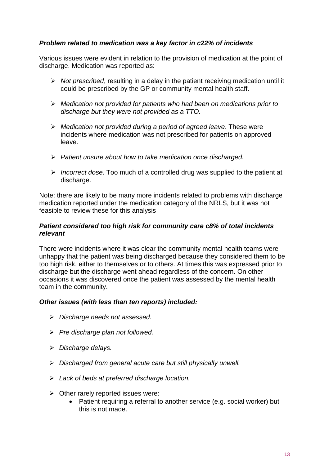#### *Problem related to medication was a key factor in c22% of incidents*

Various issues were evident in relation to the provision of medication at the point of discharge. Medication was reported as:

- *Not prescribed*, resulting in a delay in the patient receiving medication until it could be prescribed by the GP or community mental health staff.
- *Medication not provided for patients who had been on medications prior to discharge but they were not provided as a TTO.*
- *Medication not provided during a period of agreed leave*. These were incidents where medication was not prescribed for patients on approved leave.
- *Patient unsure about how to take medication once discharged.*
- *Incorrect dose*. Too much of a controlled drug was supplied to the patient at discharge.

Note: there are likely to be many more incidents related to problems with discharge medication reported under the medication category of the NRLS, but it was not feasible to review these for this analysis

#### *Patient considered too high risk for community care c8% of total incidents relevant*

There were incidents where it was clear the community mental health teams were unhappy that the patient was being discharged because they considered them to be too high risk, either to themselves or to others. At times this was expressed prior to discharge but the discharge went ahead regardless of the concern. On other occasions it was discovered once the patient was assessed by the mental health team in the community.

#### *Other issues (with less than ten reports) included:*

- *Discharge needs not assessed.*
- *Pre discharge plan not followed.*
- *Discharge delays.*
- *Discharged from general acute care but still physically unwell.*
- *Lack of beds at preferred discharge location.*
- $\triangleright$  Other rarely reported issues were:
	- Patient requiring a referral to another service (e.g. social worker) but this is not made.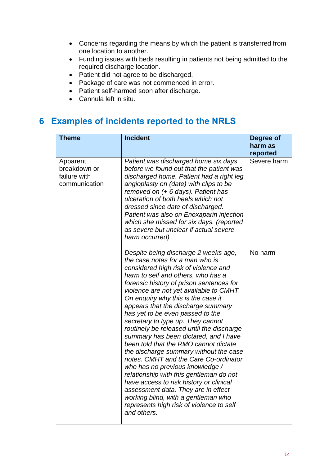- Concerns regarding the means by which the patient is transferred from one location to another.
- Funding issues with beds resulting in patients not being admitted to the required discharge location.
- Patient did not agree to be discharged.
- Package of care was not commenced in error.
- Patient self-harmed soon after discharge.
- Cannula left in situ.

## <span id="page-13-0"></span>**6 Examples of incidents reported to the NRLS**

| <b>Theme</b>                                              | <b>Incident</b>                                                                                                                                                                                                                                                                                                                                                                                                                                                                                                                                                                                                                                                                                                                                                                                                                                                                       | Degree of           |
|-----------------------------------------------------------|---------------------------------------------------------------------------------------------------------------------------------------------------------------------------------------------------------------------------------------------------------------------------------------------------------------------------------------------------------------------------------------------------------------------------------------------------------------------------------------------------------------------------------------------------------------------------------------------------------------------------------------------------------------------------------------------------------------------------------------------------------------------------------------------------------------------------------------------------------------------------------------|---------------------|
|                                                           |                                                                                                                                                                                                                                                                                                                                                                                                                                                                                                                                                                                                                                                                                                                                                                                                                                                                                       | harm as<br>reported |
| Apparent<br>breakdown or<br>failure with<br>communication | Patient was discharged home six days<br>before we found out that the patient was<br>discharged home. Patient had a right leg<br>angioplasty on (date) with clips to be<br>removed on (+ 6 days). Patient has<br>ulceration of both heels which not<br>dressed since date of discharged.<br>Patient was also on Enoxaparin injection<br>which she missed for six days. (reported<br>as severe but unclear if actual severe<br>harm occurred)                                                                                                                                                                                                                                                                                                                                                                                                                                           | Severe harm         |
|                                                           | Despite being discharge 2 weeks ago,<br>the case notes for a man who is<br>considered high risk of violence and<br>harm to self and others, who has a<br>forensic history of prison sentences for<br>violence are not yet available to CMHT.<br>On enquiry why this is the case it<br>appears that the discharge summary<br>has yet to be even passed to the<br>secretary to type up. They cannot<br>routinely be released until the discharge<br>summary has been dictated, and I have<br>been told that the RMO cannot dictate<br>the discharge summary without the case<br>notes. CMHT and the Care Co-ordinator<br>who has no previous knowledge /<br>relationship with this gentleman do not<br>have access to risk history or clinical<br>assessment data. They are in effect<br>working blind, with a gentleman who<br>represents high risk of violence to self<br>and others. | No harm             |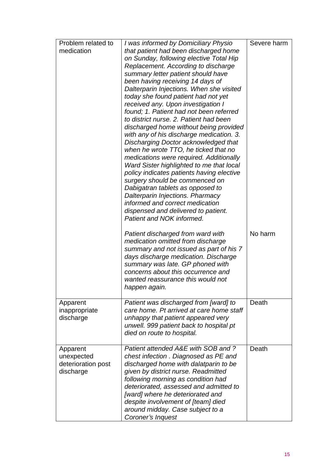| Problem related to<br>medication                          | I was informed by Domiciliary Physio<br>that patient had been discharged home<br>on Sunday, following elective Total Hip<br>Replacement. According to discharge<br>summary letter patient should have<br>been having receiving 14 days of<br>Dalterparin Injections. When she visited<br>today she found patient had not yet<br>received any. Upon investigation I<br>found; 1. Patient had not been referred<br>to district nurse, 2. Patient had been<br>discharged home without being provided<br>with any of his discharge medication. 3.<br>Discharging Doctor acknowledged that<br>when he wrote TTO, he ticked that no<br>medications were required. Additionally<br>Ward Sister highlighted to me that local<br>policy indicates patients having elective<br>surgery should be commenced on<br>Dabigatran tablets as opposed to<br>Dalterparin Injections. Pharmacy<br>informed and correct medication | Severe harm |
|-----------------------------------------------------------|----------------------------------------------------------------------------------------------------------------------------------------------------------------------------------------------------------------------------------------------------------------------------------------------------------------------------------------------------------------------------------------------------------------------------------------------------------------------------------------------------------------------------------------------------------------------------------------------------------------------------------------------------------------------------------------------------------------------------------------------------------------------------------------------------------------------------------------------------------------------------------------------------------------|-------------|
|                                                           | dispensed and delivered to patient.<br>Patient and NOK informed.                                                                                                                                                                                                                                                                                                                                                                                                                                                                                                                                                                                                                                                                                                                                                                                                                                               |             |
|                                                           | Patient discharged from ward with<br>medication omitted from discharge<br>summary and not issued as part of his 7<br>days discharge medication. Discharge<br>summary was late. GP phoned with<br>concerns about this occurrence and<br>wanted reassurance this would not<br>happen again.                                                                                                                                                                                                                                                                                                                                                                                                                                                                                                                                                                                                                      | No harm     |
| Apparent<br>inappropriate<br>discharge                    | Patient was discharged from [ward] to<br>care home. Pt arrived at care home staff<br>unhappy that patient appeared very<br>unwell. 999 patient back to hospital pt<br>died on route to hospital.                                                                                                                                                                                                                                                                                                                                                                                                                                                                                                                                                                                                                                                                                                               | Death       |
| Apparent<br>unexpected<br>deterioration post<br>discharge | Patient attended A&E with SOB and?<br>chest infection . Diagnosed as PE and<br>discharged home with dalatparin to be<br>given by district nurse. Readmitted<br>following morning as condition had<br>deteriorated, assessed and admitted to<br>[ward] where he deteriorated and<br>despite involvement of [team] died<br>around midday. Case subject to a<br>Coroner's Inquest                                                                                                                                                                                                                                                                                                                                                                                                                                                                                                                                 | Death       |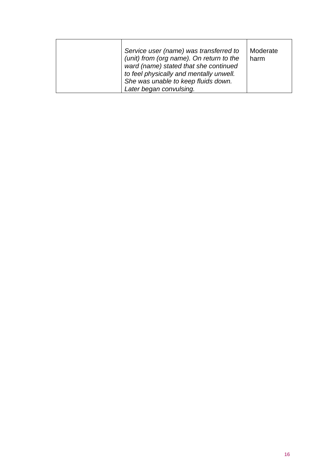<span id="page-15-0"></span>

|  | Service user (name) was transferred to<br>(unit) from (org name). On return to the<br>ward (name) stated that she continued<br>to feel physically and mentally unwell.<br>She was unable to keep fluids down.<br>Later began convulsing. | Moderate<br>harm |
|--|------------------------------------------------------------------------------------------------------------------------------------------------------------------------------------------------------------------------------------------|------------------|
|--|------------------------------------------------------------------------------------------------------------------------------------------------------------------------------------------------------------------------------------------|------------------|